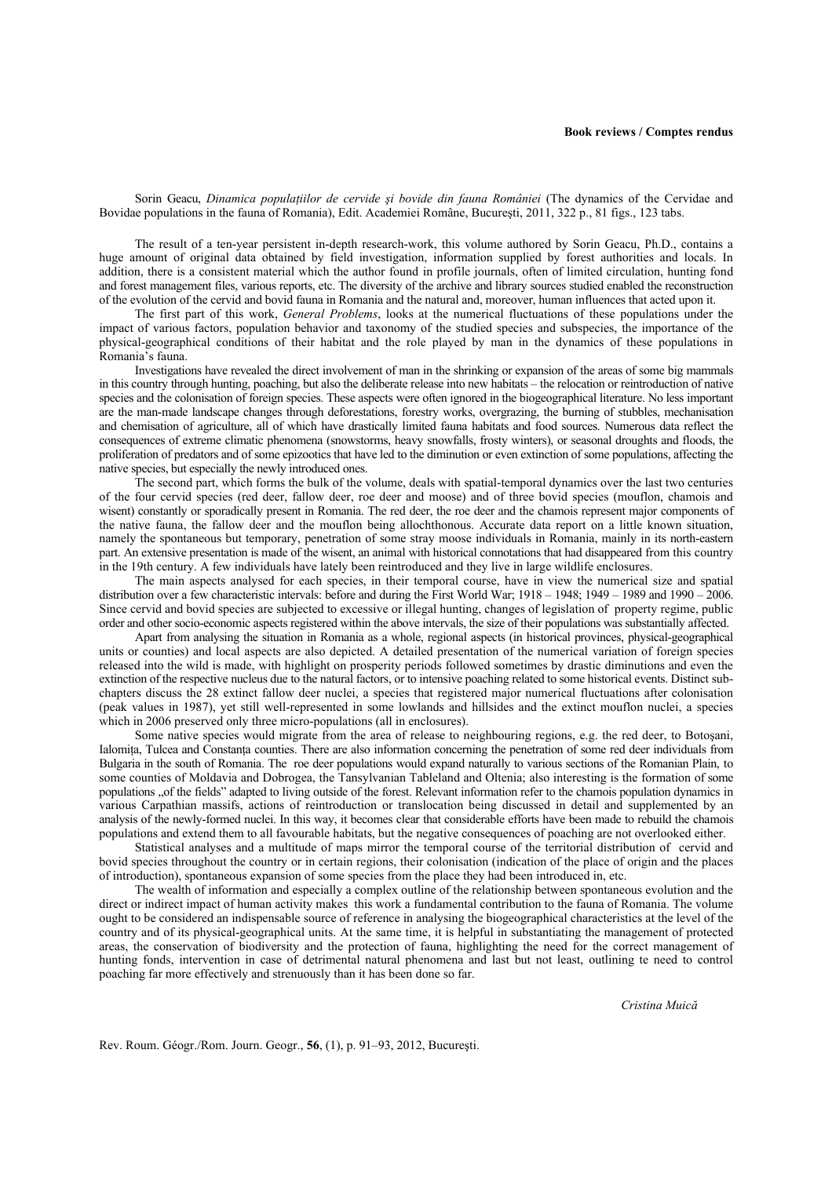Sorin Geacu, *Dinamica populaţiilor de cervide şi bovide din fauna României* (The dynamics of the Cervidae and Bovidae populations in the fauna of Romania), Edit. Academiei Române, Bucureşti, 2011, 322 p., 81 figs., 123 tabs.

The result of a ten-year persistent in-depth research-work, this volume authored by Sorin Geacu, Ph.D., contains a huge amount of original data obtained by field investigation, information supplied by forest authorities and locals. In addition, there is a consistent material which the author found in profile journals, often of limited circulation, hunting fond and forest management files, various reports, etc. The diversity of the archive and library sources studied enabled the reconstruction of the evolution of the cervid and bovid fauna in Romania and the natural and, moreover, human influences that acted upon it.

The first part of this work, *General Problems*, looks at the numerical fluctuations of these populations under the impact of various factors, population behavior and taxonomy of the studied species and subspecies, the importance of the physical-geographical conditions of their habitat and the role played by man in the dynamics of these populations in Romania's fauna.

Investigations have revealed the direct involvement of man in the shrinking or expansion of the areas of some big mammals in this country through hunting, poaching, but also the deliberate release into new habitats – the relocation or reintroduction of native species and the colonisation of foreign species. These aspects were often ignored in the biogeographical literature. No less important are the man-made landscape changes through deforestations, forestry works, overgrazing, the burning of stubbles, mechanisation and chemisation of agriculture, all of which have drastically limited fauna habitats and food sources. Numerous data reflect the consequences of extreme climatic phenomena (snowstorms, heavy snowfalls, frosty winters), or seasonal droughts and floods, the proliferation of predators and of some epizootics that have led to the diminution or even extinction of some populations, affecting the native species, but especially the newly introduced ones.

The second part, which forms the bulk of the volume, deals with spatial-temporal dynamics over the last two centuries of the four cervid species (red deer, fallow deer, roe deer and moose) and of three bovid species (mouflon, chamois and wisent) constantly or sporadically present in Romania. The red deer, the roe deer and the chamois represent major components of the native fauna, the fallow deer and the mouflon being allochthonous. Accurate data report on a little known situation, namely the spontaneous but temporary, penetration of some stray moose individuals in Romania, mainly in its north-eastern part. An extensive presentation is made of the wisent, an animal with historical connotations that had disappeared from this country in the 19th century. A few individuals have lately been reintroduced and they live in large wildlife enclosures.

The main aspects analysed for each species, in their temporal course, have in view the numerical size and spatial distribution over a few characteristic intervals: before and during the First World War;  $1918 - 1948$ ;  $1949 - 1989$  and  $1990 - 2006$ . Since cervid and bovid species are subjected to excessive or illegal hunting, changes of legislation of property regime, public order and other socio-economic aspects registered within the above intervals, the size of their populations was substantially affected.

Apart from analysing the situation in Romania as a whole, regional aspects (in historical provinces, physical-geographical units or counties) and local aspects are also depicted. A detailed presentation of the numerical variation of foreign species released into the wild is made, with highlight on prosperity periods followed sometimes by drastic diminutions and even the extinction of the respective nucleus due to the natural factors, or to intensive poaching related to some historical events. Distinct subchapters discuss the 28 extinct fallow deer nuclei, a species that registered major numerical fluctuations after colonisation (peak values in 1987), yet still well-represented in some lowlands and hillsides and the extinct mouflon nuclei, a species which in 2006 preserved only three micro-populations (all in enclosures).

Some native species would migrate from the area of release to neighbouring regions, e.g. the red deer, to Botoşani, Ialomita, Tulcea and Constanta counties. There are also information concerning the penetration of some red deer individuals from Bulgaria in the south of Romania. The roe deer populations would expand naturally to various sections of the Romanian Plain, to some counties of Moldavia and Dobrogea, the Tansylvanian Tableland and Oltenia; also interesting is the formation of some populations "of the fields" adapted to living outside of the forest. Relevant information refer to the chamois population dynamics in various Carpathian massifs, actions of reintroduction or translocation being discussed in detail and supplemented by an analysis of the newly-formed nuclei. In this way, it becomes clear that considerable efforts have been made to rebuild the chamois populations and extend them to all favourable habitats, but the negative consequences of poaching are not overlooked either.

Statistical analyses and a multitude of maps mirror the temporal course of the territorial distribution of cervid and bovid species throughout the country or in certain regions, their colonisation (indication of the place of origin and the places of introduction), spontaneous expansion of some species from the place they had been introduced in, etc.

The wealth of information and especially a complex outline of the relationship between spontaneous evolution and the direct or indirect impact of human activity makes this work a fundamental contribution to the fauna of Romania. The volume ought to be considered an indispensable source of reference in analysing the biogeographical characteristics at the level of the country and of its physical-geographical units. At the same time, it is helpful in substantiating the management of protected areas, the conservation of biodiversity and the protection of fauna, highlighting the need for the correct management of hunting fonds, intervention in case of detrimental natural phenomena and last but not least, outlining te need to control poaching far more effectively and strenuously than it has been done so far.

*Cristina Muică* 

Rev. Roum. Géogr./Rom. Journ. Geogr., **56**, (1), p. 91–93, 2012, Bucureşti.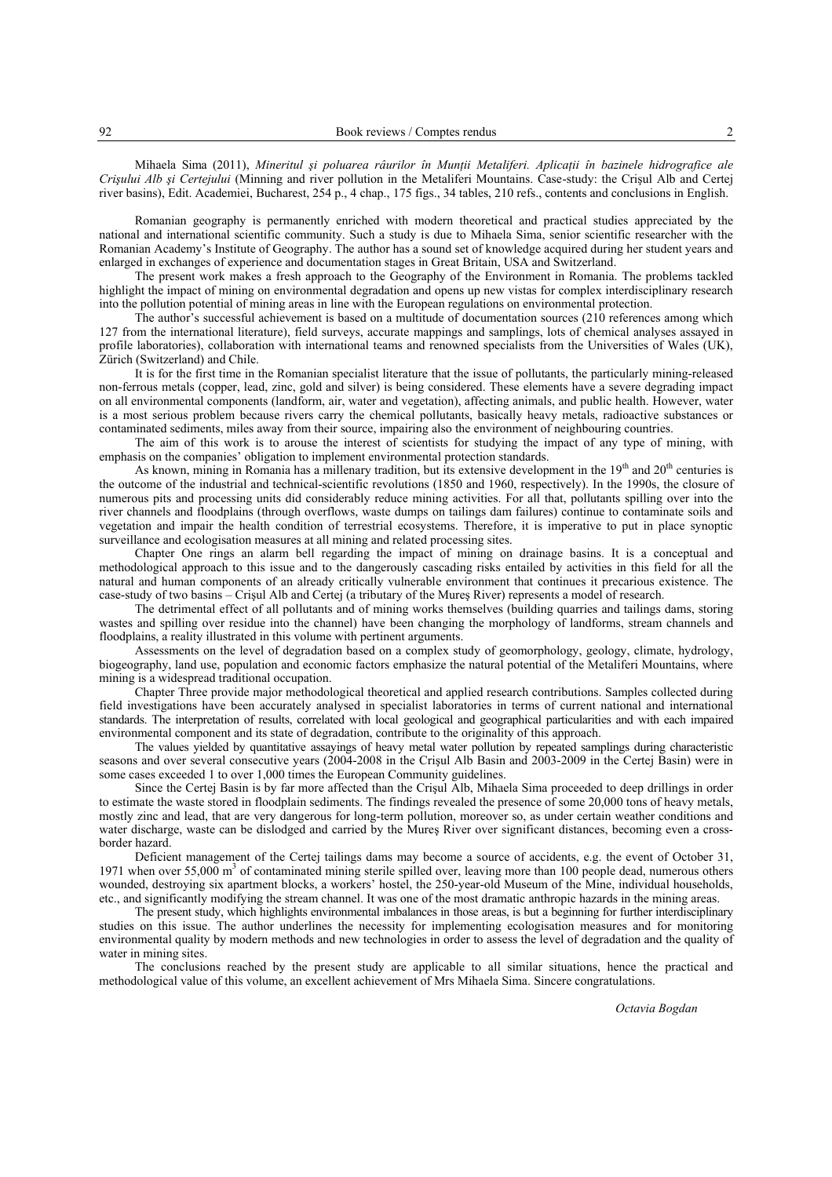Mihaela Sima (2011), *Mineritul şi poluarea râurilor în Munţii Metaliferi. Aplicaţii în bazinele hidrografice ale Crişului Alb şi Certejului* (Minning and river pollution in the Metaliferi Mountains. Case-study: the Crişul Alb and Certej river basins), Edit. Academiei, Bucharest, 254 p., 4 chap., 175 figs., 34 tables, 210 refs., contents and conclusions in English.

Romanian geography is permanently enriched with modern theoretical and practical studies appreciated by the national and international scientific community. Such a study is due to Mihaela Sima, senior scientific researcher with the Romanian Academy's Institute of Geography. The author has a sound set of knowledge acquired during her student years and enlarged in exchanges of experience and documentation stages in Great Britain, USA and Switzerland.

The present work makes a fresh approach to the Geography of the Environment in Romania. The problems tackled highlight the impact of mining on environmental degradation and opens up new vistas for complex interdisciplinary research into the pollution potential of mining areas in line with the European regulations on environmental protection.

The author's successful achievement is based on a multitude of documentation sources (210 references among which 127 from the international literature), field surveys, accurate mappings and samplings, lots of chemical analyses assayed in profile laboratories), collaboration with international teams and renowned specialists from the Universities of Wales (UK), Zürich (Switzerland) and Chile.

It is for the first time in the Romanian specialist literature that the issue of pollutants, the particularly mining-released non-ferrous metals (copper, lead, zinc, gold and silver) is being considered. These elements have a severe degrading impact on all environmental components (landform, air, water and vegetation), affecting animals, and public health. However, water is a most serious problem because rivers carry the chemical pollutants, basically heavy metals, radioactive substances or contaminated sediments, miles away from their source, impairing also the environment of neighbouring countries.

The aim of this work is to arouse the interest of scientists for studying the impact of any type of mining, with emphasis on the companies' obligation to implement environmental protection standards.

As known, mining in Romania has a millenary tradition, but its extensive development in the  $19<sup>th</sup>$  and  $20<sup>th</sup>$  centuries is the outcome of the industrial and technical-scientific revolutions (1850 and 1960, respectively). In the 1990s, the closure of numerous pits and processing units did considerably reduce mining activities. For all that, pollutants spilling over into the river channels and floodplains (through overflows, waste dumps on tailings dam failures) continue to contaminate soils and vegetation and impair the health condition of terrestrial ecosystems. Therefore, it is imperative to put in place synoptic surveillance and ecologisation measures at all mining and related processing sites.

Chapter One rings an alarm bell regarding the impact of mining on drainage basins. It is a conceptual and methodological approach to this issue and to the dangerously cascading risks entailed by activities in this field for all the natural and human components of an already critically vulnerable environment that continues it precarious existence. The case-study of two basins *–* Crişul Alb and Certej (a tributary of the Mureş River) represents a model of research.

The detrimental effect of all pollutants and of mining works themselves (building quarries and tailings dams, storing wastes and spilling over residue into the channel) have been changing the morphology of landforms, stream channels and floodplains, a reality illustrated in this volume with pertinent arguments.

Assessments on the level of degradation based on a complex study of geomorphology, geology, climate, hydrology, biogeography, land use, population and economic factors emphasize the natural potential of the Metaliferi Mountains, where mining is a widespread traditional occupation.

Chapter Three provide major methodological theoretical and applied research contributions. Samples collected during field investigations have been accurately analysed in specialist laboratories in terms of current national and international standards. The interpretation of results, correlated with local geological and geographical particularities and with each impaired environmental component and its state of degradation, contribute to the originality of this approach.

The values yielded by quantitative assayings of heavy metal water pollution by repeated samplings during characteristic seasons and over several consecutive years (2004-2008 in the Crişul Alb Basin and 2003-2009 in the Certej Basin) were in some cases exceeded 1 to over 1,000 times the European Community guidelines.

Since the Certej Basin is by far more affected than the Crişul Alb, Mihaela Sima proceeded to deep drillings in order to estimate the waste stored in floodplain sediments. The findings revealed the presence of some 20,000 tons of heavy metals, mostly zinc and lead, that are very dangerous for long-term pollution, moreover so, as under certain weather conditions and water discharge, waste can be dislodged and carried by the Mureş River over significant distances, becoming even a crossborder hazard.

Deficient management of the Certej tailings dams may become a source of accidents, e.g. the event of October 31, 1971 when over 55,000  $\text{m}^3$  of contaminated mining sterile spilled over, leaving more than 100 people dead, numerous others wounded, destroying six apartment blocks, a workers' hostel, the 250-year-old Museum of the Mine, individual households, etc., and significantly modifying the stream channel. It was one of the most dramatic anthropic hazards in the mining areas.

The present study, which highlights environmental imbalances in those areas, is but a beginning for further interdisciplinary studies on this issue. The author underlines the necessity for implementing ecologisation measures and for monitoring environmental quality by modern methods and new technologies in order to assess the level of degradation and the quality of water in mining sites.

The conclusions reached by the present study are applicable to all similar situations, hence the practical and methodological value of this volume, an excellent achievement of Mrs Mihaela Sima. Sincere congratulations.

*Octavia Bogdan*